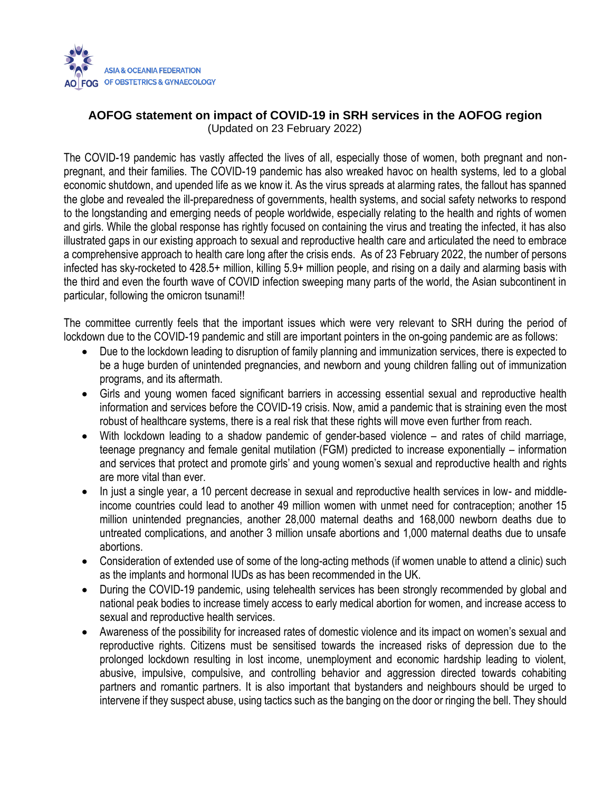

## **AOFOG statement on impact of COVID-19 in SRH services in the AOFOG region** (Updated on 23 February 2022)

The COVID-19 pandemic has vastly affected the lives of all, especially those of women, both pregnant and nonpregnant, and their families. The COVID-19 pandemic has also wreaked havoc on health systems, led to a global economic shutdown, and upended life as we know it. As the virus spreads at alarming rates, the fallout has spanned the globe and revealed the ill-preparedness of governments, health systems, and social safety networks to respond to the longstanding and emerging needs of people worldwide, especially relating to the health and rights of women and girls. While the global response has rightly focused on containing the virus and treating the infected, it has also illustrated gaps in our existing approach to sexual and reproductive health care and articulated the need to embrace a comprehensive approach to health care long after the crisis ends. As of 23 February 2022, the number of persons infected has sky-rocketed to 428.5+ million, killing 5.9+ million people, and rising on a daily and alarming basis with the third and even the fourth wave of COVID infection sweeping many parts of the world, the Asian subcontinent in particular, following the omicron tsunami!!

The committee currently feels that the important issues which were very relevant to SRH during the period of lockdown due to the COVID-19 pandemic and still are important pointers in the on-going pandemic are as follows:

- Due to the lockdown leading to disruption of family planning and immunization services, there is expected to be a huge burden of unintended pregnancies, and newborn and young children falling out of immunization programs, and its aftermath.
- Girls and young women faced significant barriers in accessing essential sexual and reproductive health information and services before the COVID-19 crisis. Now, amid a pandemic that is straining even the most robust of healthcare systems, there is a real risk that these rights will move even further from reach.
- With lockdown leading to a shadow pandemic of gender-based violence and rates of child marriage, teenage pregnancy and female genital mutilation (FGM) predicted to increase exponentially – information and services that protect and promote girls' and young women's sexual and reproductive health and rights are more vital than ever.
- In just a single year, a 10 percent decrease in sexual and reproductive health services in low- and middleincome countries could lead to another 49 million women with unmet need for contraception; another 15 million unintended pregnancies, another 28,000 maternal deaths and 168,000 newborn deaths due to untreated complications, and another 3 million unsafe abortions and 1,000 maternal deaths due to unsafe abortions.
- Consideration of extended use of some of the long-acting methods (if women unable to attend a clinic) such as the implants and hormonal IUDs as has been recommended in the UK.
- During the COVID-19 pandemic, using telehealth services has been strongly recommended by global and national peak bodies to increase timely access to early medical abortion for women, and increase access to sexual and reproductive health services.
- Awareness of the possibility for increased rates of domestic violence and its impact on women's sexual and reproductive rights. Citizens must be sensitised towards the increased risks of depression due to the prolonged lockdown resulting in lost income, unemployment and economic hardship leading to violent, abusive, impulsive, compulsive, and controlling behavior and aggression directed towards cohabiting partners and romantic partners. It is also important that bystanders and neighbours should be urged to intervene if they suspect abuse, using tactics such as the banging on the door or ringing the bell. They should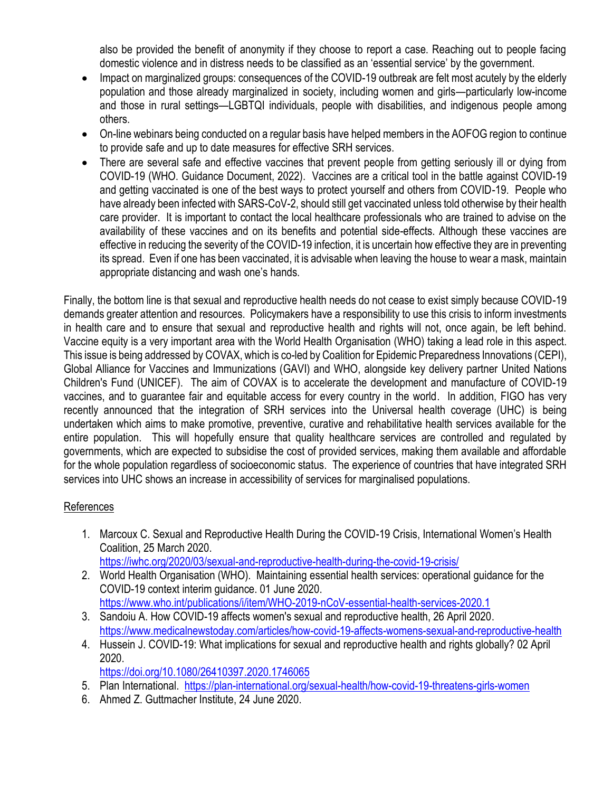also be provided the benefit of anonymity if they choose to report a case. Reaching out to people facing domestic violence and in distress needs to be classified as an 'essential service' by the government.

- Impact on marginalized groups: consequences of the COVID-19 outbreak are felt most acutely by the elderly population and those already marginalized in society, including women and girls—particularly low-income and those in rural settings—LGBTQI individuals, people with disabilities, and indigenous people among others.
- On-line webinars being conducted on a regular basis have helped members in the AOFOG region to continue to provide safe and up to date measures for effective SRH services.
- There are several safe and effective vaccines that prevent people from getting seriously ill or dying from COVID-19 (WHO. Guidance Document, 2022). Vaccines are a critical tool in the battle against COVID-19 and getting vaccinated is one of the best ways to protect yourself and others from COVID-19. People who have already been infected with SARS-CoV-2, should still get vaccinated unless told otherwise by their health care provider. It is important to contact the local healthcare professionals who are trained to advise on the availability of these vaccines and on its benefits and potential side-effects. Although these vaccines are effective in reducing the severity of the COVID-19 infection, it is uncertain how effective they are in preventing its spread. Even if one has been vaccinated, it is advisable when leaving the house to wear a mask, maintain appropriate distancing and wash one's hands.

Finally, the bottom line is that sexual and reproductive health needs do not cease to exist simply because COVID-19 demands greater attention and resources. Policymakers have a responsibility to use this crisis to inform investments in health care and to ensure that sexual and reproductive health and rights will not, once again, be left behind. Vaccine equity is a very important area with the World Health Organisation (WHO) taking a lead role in this aspect. This issue is being addressed by COVAX, which is co-led by Coalition for Epidemic Preparedness Innovations (CEPI), Global Alliance for Vaccines and Immunizations (GAVI) and WHO, alongside key delivery partner United Nations Children's Fund (UNICEF). The aim of COVAX is to accelerate the development and manufacture of COVID-19 vaccines, and to guarantee fair and equitable access for every country in the world. In addition, FIGO has very recently announced that the integration of SRH services into the Universal health coverage (UHC) is being undertaken which aims to make promotive, preventive, curative and rehabilitative health services available for the entire population. This will hopefully ensure that quality healthcare services are controlled and regulated by governments, which are expected to subsidise the cost of provided services, making them available and affordable for the whole population regardless of socioeconomic status. The experience of countries that have integrated SRH services into UHC shows an increase in accessibility of services for marginalised populations.

## References

- 1. Marcoux C. Sexual and Reproductive Health During the COVID-19 Crisis, International Women's Health Coalition, 25 March 2020. <https://iwhc.org/2020/03/sexual-and-reproductive-health-during-the-covid-19-crisis/>
- 2. World Health Organisation (WHO). Maintaining essential health services: operational guidance for the COVID-19 context interim guidance. 01 June 2020. <https://www.who.int/publications/i/item/WHO-2019-nCoV-essential-health-services-2020.1>
- 3. Sandoiu A. How COVID-19 affects women's sexual and reproductive health, 26 April 2020. <https://www.medicalnewstoday.com/articles/how-covid-19-affects-womens-sexual-and-reproductive-health>
- 4. Hussein J. COVID-19: What implications for sexual and reproductive health and rights globally? 02 April 2020.

<https://doi.org/10.1080/26410397.2020.1746065>

- 5. Plan International. <https://plan-international.org/sexual-health/how-covid-19-threatens-girls-women>
- 6. Ahmed Z. Guttmacher Institute, 24 June 2020.